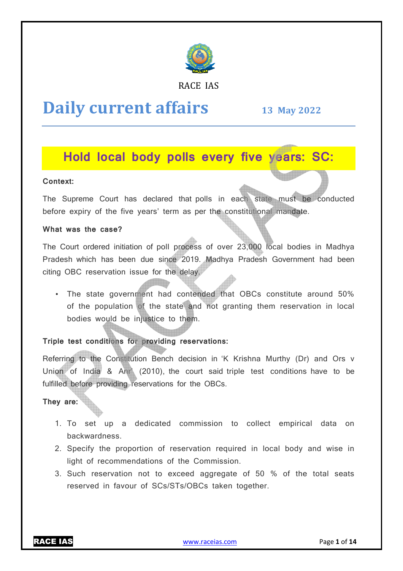

RACE IAS

# **Daily current affairs**

**13 May May 2022**

# **Hold local body polls every five years: SC:**

# **Context:**

The Supreme Court has declared that polls in each state must be conducted before expiry of the five years' term as per the constitutional mandate.

# **What was the case?**

The Court ordered initiation of poll process of over 23,000 local bodies in Madhya Pradesh which has been due since 2019. Madhya Pradesh Government had been citing OBC reservation issue for the delay.

• The state government had contended that OBCs constitute around 50% of the population of the state and not granting them reservation in local bodies would be injustice to them. ded that OBCs constitute around 50%<br>not granting them reservation in local<br>vations:<br>in in 'K Krishna Murthy (Dr) and Ors v<br>t said triple test conditions have to be

# **Triple test conditions for providing reservations:**

Referring to the Constitution Bench decision in 'K Krishna Murthy (Dr) and Ors v Union of India & Anr\ (2010), the court said triple test conditions fulfilled before providing reservations for the OBCs.

# **They are:**

- 1. To set up a dedicated commission to collect empirical data on backwardness.
- 2. Specify the proportion of reservation required in local body and wise in light of recommendations of the Commission.
- 3. Such reservation not to exceed aggregate of 50 % of the total seats reserved in favour of SCs/STs/OBCs taken together.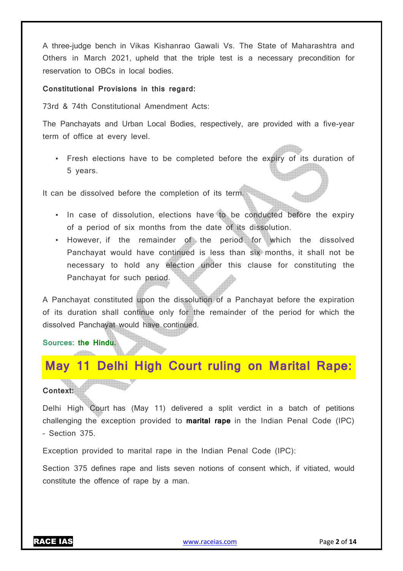A three-judge bench in Vikas Kishanrao Gawali Vs. The State of Maharashtra and Others in March 2021, upheld that the triple test is a necessary precondition for reservation to OBCs in local bodies.

#### **Constitutional Provisions in this regard:**

73rd & 74th Constitutional Amendment Acts:

The Panchayats and Urban Local Bodies, respectively, are provided with a five-year term of office at every level.

• Fresh elections have to be completed before the expiry of its duration of 5 years.

It can be dissolved before the completion of its term.

- In case of dissolution, elections have to be conducted before the expiry of a period of six months from the date of its dissolution.
- However, if the remainder of the period for which the dissolved Panchayat would have continued is less than six months, it shall not be necessary to hold any election under this clause for constituting the Panchayat for such period.

A Panchayat constituted upon the dissolution of a Panchayat before the expiration of its duration shall continue only for the remainder of the period for which the dissolved Panchayat would have continued.

### **Sources: the Hindu.**

# **May 11 Delhi High Court ruling on Marital Rape:**

**Context:** 

Delhi High Court has (May 11) delivered a split verdict in a batch of petitions challenging the exception provided to **marital rape** in the Indian Penal Code (IPC) – Section 375.

Exception provided to marital rape in the Indian Penal Code (IPC):

Section 375 defines rape and lists seven notions of consent which, if vitiated, would constitute the offence of rape by a man.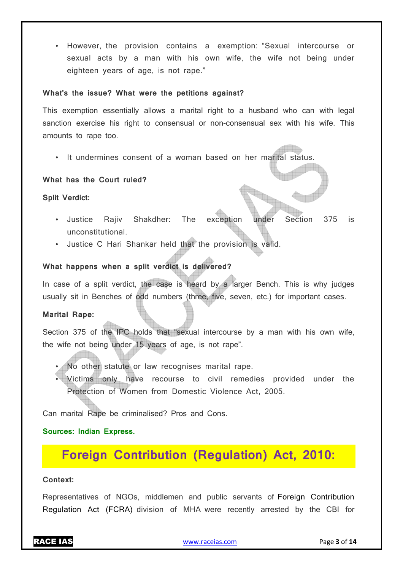• However, the provision contains a exemption: "Sexual intercourse or sexual acts by a man with his own wife, the wife not being under eighteen years of age, is not rape."

#### **What's the issue? What were the petitions against?**

This exemption essentially allows a marital right to a husband who can with legal sanction exercise his right to consensual or non-consensual sex with his wife. This amounts to rape too.

• It undermines consent of a woman based on her marital status.

#### **What has the Court ruled?**

**Split Verdict:** 

- Justice Rajiv Shakdher: The exception under Section 375 is unconstitutional.
- Justice C Hari Shankar held that the provision is valid.

### **What happens when a split verdict is delivered?**

In case of a split verdict, the case is heard by a larger Bench. This is why judges usually sit in Benches of odd numbers (three, five, seven, etc.) for important cases.

#### **Marital Rape:**

Section 375 of the IPC holds that "sexual intercourse by a man with his own wife, the wife not being under 15 years of age, is not rape".

- No other statute or law recognises marital rape.
- Victims only have recourse to civil remedies provided under the Protection of Women from Domestic Violence Act, 2005.

Can marital Rape be criminalised? Pros and Cons.

#### **Sources: Indian Express.**

# **Foreign Contribution (Regulation) Act, 2010:**

#### **Context:**

Representatives of NGOs, middlemen and public servants of Foreign Contribution Regulation Act (FCRA) division of MHA were recently arrested by the CBI for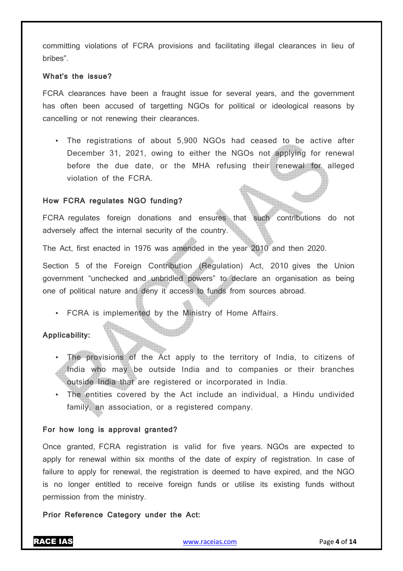committing violations of FCRA provisions and facilitating illegal clearances in lieu of bribes".

#### **What's the issue?**

FCRA clearances have been a fraught issue for several years, and the government has often been accused of targetting NGOs for political or ideological reasons by cancelling or not renewing their clearances.

• The registrations of about 5,900 NGOs had ceased to be active after December 31, 2021, owing to either the NGOs not applying for renewal before the due date, or the MHA refusing their renewal for alleged violation of the FCRA.

### **How FCRA regulates NGO funding?**

FCRA regulates foreign donations and ensures that such contributions do not adversely affect the internal security of the country.

The Act, first enacted in 1976 was amended in the year 2010 and then 2020.

Section 5 of the Foreign Contribution (Regulation) Act, 2010 gives the Union government "unchecked and unbridled powers" to declare an organisation as being one of political nature and deny it access to funds from sources abroad.

• FCRA is implemented by the Ministry of Home Affairs.

**Applicability:** 

- The provisions of the Act apply to the territory of India, to citizens of India who may be outside India and to companies or their branches outside India that are registered or incorporated in India.
- The entities covered by the Act include an individual, a Hindu undivided family, an association, or a registered company.

### **For how long is approval granted?**

Once granted, FCRA registration is valid for five years. NGOs are expected to apply for renewal within six months of the date of expiry of registration. In case of failure to apply for renewal, the registration is deemed to have expired, and the NGO is no longer entitled to receive foreign funds or utilise its existing funds without permission from the ministry.

**Prior Reference Category under the Act:**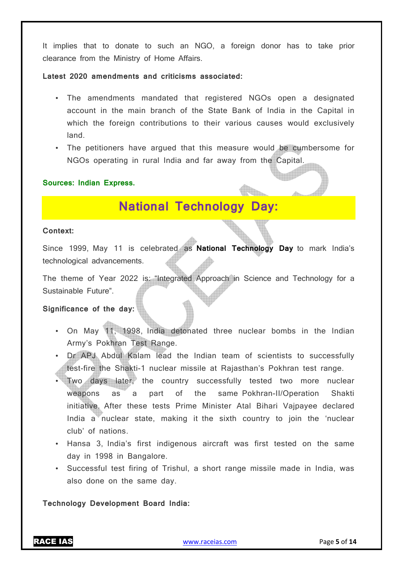It implies that to donate to such an NGO, a foreign donor has to take prior clearance from the Ministry of Home Affairs.

**Latest 2020 amendments and criticisms associated:** 

- The amendments mandated that registered NGOs open a designated account in the main branch of the State Bank of India in the Capital in which the foreign contributions to their various causes would exclusively land.
- The petitioners have argued that this measure would be cumbersome for NGOs operating in rural India and far away from the Capital.

### **Sources: Indian Express.**

# **National Technology Day:**

#### **Context:**

Since 1999, May 11 is celebrated as **National Technology Day** to mark India's technological advancements.

The theme of Year 2022 is: "Integrated Approach in Science and Technology for a Sustainable Future".

#### **Significance of the day:**

- On May 11, 1998, India detonated three nuclear bombs in the Indian Army's Pokhran Test Range.
- Dr APJ Abdul Kalam lead the Indian team of scientists to successfully test-fire the Shakti-1 nuclear missile at Rajasthan's Pokhran test range.
- Two days later, the country successfully tested two more nuclear weapons as a part of the same Pokhran-II/Operation Shakti initiative. After these tests Prime Minister Atal Bihari Vajpayee declared India a nuclear state, making it the sixth country to join the 'nuclear club' of nations.
- Hansa 3, India's first indigenous aircraft was first tested on the same day in 1998 in Bangalore.
- Successful test firing of Trishul, a short range missile made in India, was also done on the same day.

**Technology Development Board India:** 

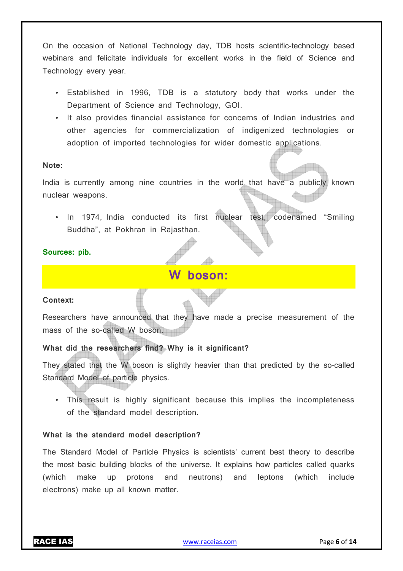On the occasion of National Technology day, TDB hosts scientific-technology based webinars and felicitate individuals for excellent works in the field of Science and Technology every year.

- Established in 1996, TDB is a statutory body that works under the Department of Science and Technology, GOI.
- It also provides financial assistance for concerns of Indian industries and other agencies for commercialization of indigenized technologies or adoption of imported technologies for wider domestic applications.

#### **Note:**

India is currently among nine countries in the world that have a publicly known nuclear weapons.

• In 1974, India conducted its first nuclear test, codenamed "Smiling Buddha", at Pokhran in Rajasthan.

### **Sources: pib.**

# **W boson:**

### **Context:**

Researchers have announced that they have made a precise measurement of the mass of the so-called W boson.

# **What did the researchers find? Why is it significant?**

They stated that the W boson is slightly heavier than that predicted by the so-called Standard Model of particle physics.

• This result is highly significant because this implies the incompleteness of the standard model description.

### **What is the standard model description?**

The Standard Model of Particle Physics is scientists' current best theory to describe the most basic building blocks of the universe. It explains how particles called quarks (which make up protons and neutrons) and leptons (which include electrons) make up all known matter.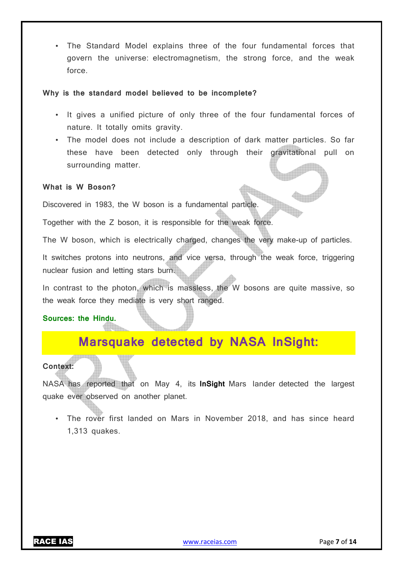• The Standard Model explains three of the four fundamental forces that govern the universe: electromagnetism, the strong force, and the weak force.

#### **Why is the standard model believed to be incomplete?**

- It gives a unified picture of only three of the four fundamental forces of nature. It totally omits gravity.
- The model does not include a description of dark matter particles. So far these have been detected only through their gravitational pull on surrounding matter.

### **What is W Boson?**

Discovered in 1983, the W boson is a fundamental particle.

Together with the Z boson, it is responsible for the weak force.

The W boson, which is electrically charged, changes the very make-up of particles.

It switches protons into neutrons, and vice versa, through the weak force, triggering nuclear fusion and letting stars burn.

In contrast to the photon, which is massless, the W bosons are quite massive, so the weak force they mediate is very short ranged.

#### **Sources: the Hindu.**

# **Marsquake detected by NASA InSight:**

#### **Context:**

NASA has reported that on May 4, its **InSight** Mars lander detected the largest quake ever observed on another planet.

• The rover first landed on Mars in November 2018, and has since heard 1,313 quakes.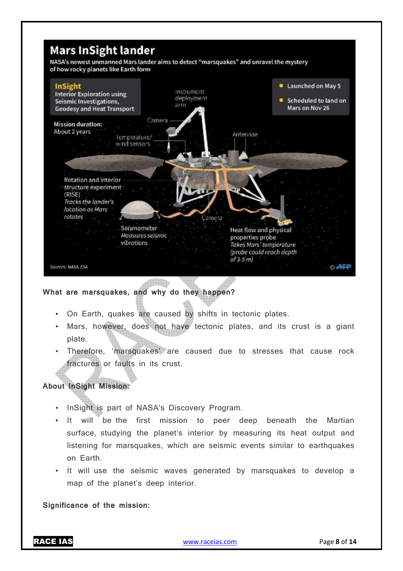

# **What are marsquakes, and why do they happen?**

- On Earth, quakes are caused by shifts in tectonic plates.
- Mars, however, does not have tectonic plates, and its crust is a giant plate.
- Therefore, 'marsquakes' are caused due to stresses that cause rock fractures or faults in its crust.

# **About InSight Mission:**

- InSight is part of NASA's Discovery Program.
- It will be the first mission to peer deep beneath the Martian surface, studying the planet's interior by measuring its heat output and listening for marsquakes, which are seismic events similar to earthquakes on Earth.
- It will use the seismic waves generated by marsquakes to develop a map of the planet's deep interior.

**Significance of the mission:**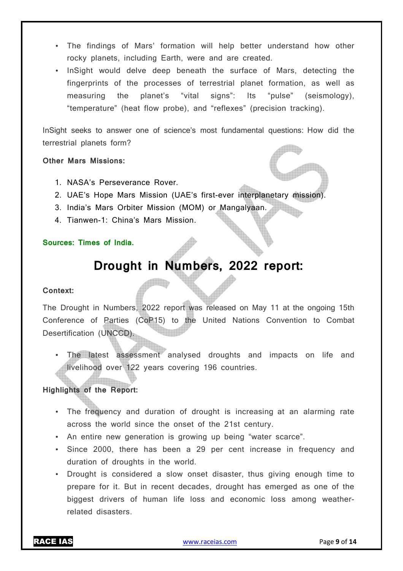- The findings of Mars' formation will help better understand how other rocky planets, including Earth, were and are created.
- InSight would delve deep beneath the surface of Mars, detecting the fingerprints of the processes of terrestrial planet formation, as well as measuring the planet's "vital signs": Its "pulse" (seismology), "temperature" (heat flow probe), and "reflexes" (precision tracking).

InSight seeks to answer one of science's most fundamental questions: How did the terrestrial planets form?

**Other Mars Missions:** 

- 1. NASA's Perseverance Rover.
- 2. UAE's Hope Mars Mission (UAE's first-ever interplanetary mission).
- 3. India's Mars Orbiter Mission (MOM) or Mangalyaan.
- 4. Tianwen-1: China's Mars Mission.

# **Sources: Times of India.**

# **Drought in Numbers, 2022 report:**

### **Context:**

The Drought in Numbers, 2022 report was released on May 11 at the ongoing 15th Conference of Parties (CoP15) to the United Nations Convention to Combat Desertification (UNCCD).

• The latest assessment analysed droughts and impacts on life and livelihood over 122 years covering 196 countries.

# **Highlights of the Report:**

- The frequency and duration of drought is increasing at an alarming rate across the world since the onset of the 21st century.
- An entire new generation is growing up being "water scarce".
- Since 2000, there has been a 29 per cent increase in frequency and duration of droughts in the world.
- Drought is considered a slow onset disaster, thus giving enough time to prepare for it. But in recent decades, drought has emerged as one of the biggest drivers of human life loss and economic loss among weatherrelated disasters.

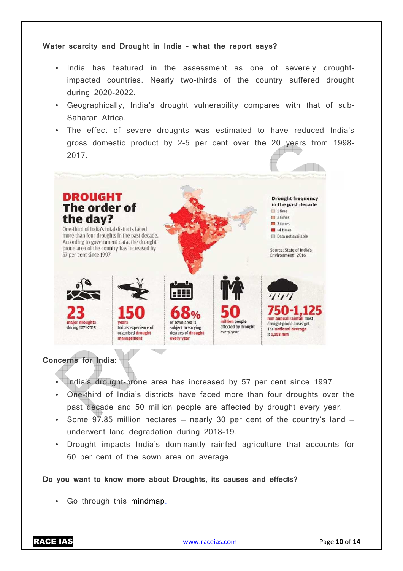#### **Water scarcity and Drought in India – what the report says?**

- India has featured in the assessment as one of severely droughtimpacted countries. Nearly two-thirds of the country suffered drought during 2020-2022.
- Geographically, India's drought vulnerability compares with that of sub-Saharan Africa.
- The effect of severe droughts was estimated to have reduced India's gross domestic product by 2-5 per cent over the 20 years from 1998- 2017.



### **Concerns for India:**

- India's drought-prone area has increased by 57 per cent since 1997.
- One-third of India's districts have faced more than four droughts over the past decade and 50 million people are affected by drought every year.
- Some  $97.85$  million hectares nearly 30 per cent of the country's land underwent land degradation during 2018-19.
- Drought impacts India's dominantly rainfed agriculture that accounts for 60 per cent of the sown area on average.

#### **Do you want to know more about Droughts, its causes and effects?**

• Go through this mindmap.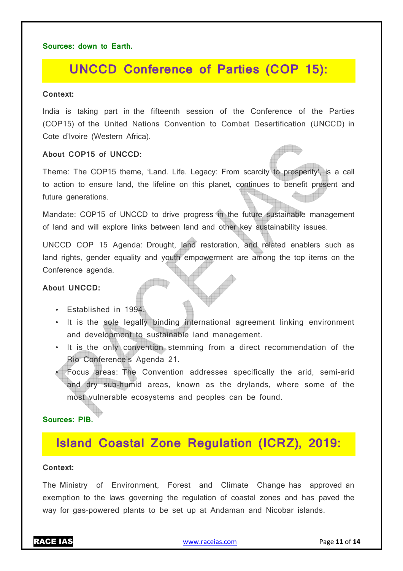#### **Sources: down to Earth.**

# **UNCCD Conference of Parties (COP 15):**

#### **Context:**

India is taking part in the fifteenth session of the Conference of the Parties (COP15) of the United Nations Convention to Combat Desertification (UNCCD) in Cote d'Ivoire (Western Africa).

#### **About COP15 of UNCCD:**

Theme: The COP15 theme, 'Land. Life. Legacy: From scarcity to prosperity', is a call to action to ensure land, the lifeline on this planet, continues to benefit present and future generations.

Mandate: COP15 of UNCCD to drive progress in the future sustainable management of land and will explore links between land and other key sustainability issues.

UNCCD COP 15 Agenda: Drought, land restoration, and related enablers such as land rights, gender equality and youth empowerment are among the top items on the Conference agenda.

#### **About UNCCD:**

- Established in 1994.
- It is the sole legally binding international agreement linking environment and development to sustainable land management.
- It is the only convention stemming from a direct recommendation of the Rio Conference's Agenda 21.
- Focus areas: The Convention addresses specifically the arid, semi-arid and dry sub-humid areas, known as the drylands, where some of the most vulnerable ecosystems and peoples can be found.

**Sources: PIB.**

# **Island Coastal Zone Regulation (ICRZ), 2019:**

#### **Context:**

The Ministry of Environment, Forest and Climate Change has approved an exemption to the laws governing the regulation of coastal zones and has paved the way for gas-powered plants to be set up at Andaman and Nicobar islands.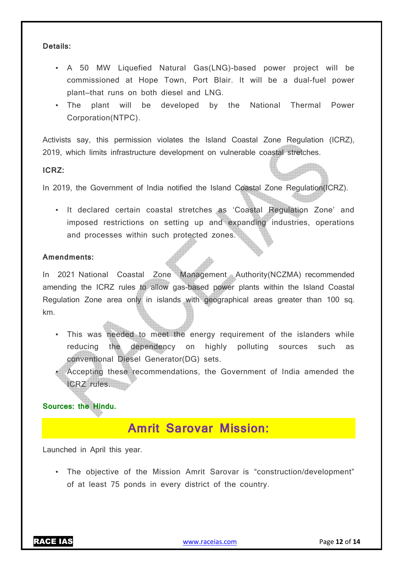#### **Details:**

- A 50 MW Liquefied Natural Gas(LNG)-based power project will be commissioned at Hope Town, Port Blair. It will be a dual-fuel power plant—that runs on both diesel and LNG.
- The plant will be developed by the National Thermal Power Corporation(NTPC).

Activists say, this permission violates the Island Coastal Zone Regulation (ICRZ), 2019, which limits infrastructure development on vulnerable coastal stretches.

#### **ICRZ:**

In 2019, the Government of India notified the Island Coastal Zone Regulation(ICRZ).

• It declared certain coastal stretches as 'Coastal Regulation Zone' and imposed restrictions on setting up and expanding industries, operations and processes within such protected zones.

#### **Amendments:**

In 2021 National Coastal Zone Management Authority(NCZMA) recommended amending the ICRZ rules to allow gas-based power plants within the Island Coastal Regulation Zone area only in islands with geographical areas greater than 100 sq. km.

- This was needed to meet the energy requirement of the islanders while reducing the dependency on highly polluting sources such as conventional Diesel Generator(DG) sets.
- Accepting these recommendations, the Government of India amended the ICRZ rules.

### **Sources: the Hindu.**

# **Amrit Sarovar Mission:**

Launched in April this year.

• The objective of the Mission Amrit Sarovar is "construction/development" of at least 75 ponds in every district of the country.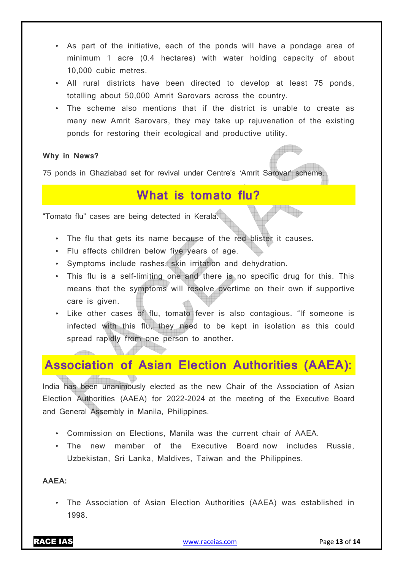- As part of the initiative, each of the ponds will have a pondage area of minimum 1 acre (0.4 hectares) with water holding capacity of about 10,000 cubic metres.
- All rural districts have been directed to develop at least 75 ponds, totalling about 50,000 Amrit Sarovars across the country.
- The scheme also mentions that if the district is unable to create as many new Amrit Sarovars, they may take up rejuvenation of the existing ponds for restoring their ecological and productive utility.

# **Why in News?**

75 ponds in Ghaziabad set for revival under Centre's 'Amrit Sarovar' scheme.

# **What is tomato flu?**

"Tomato flu" cases are being detected in Kerala.

- The flu that gets its name because of the red blister it causes.
- Flu affects children below five years of age.
- Symptoms include rashes, skin irritation and dehydration.
- This flu is a self-limiting one and there is no specific drug for this. This means that the symptoms will resolve overtime on their own if supportive care is given.
- Like other cases of flu, tomato fever is also contagious. "If someone is infected with this flu, they need to be kept in isolation as this could spread rapidly from one person to another.

# **Association of Asian Election Authorities (AAEA):**

India has been unanimously elected as the new Chair of the Association of Asian Election Authorities (AAEA) for 2022-2024 at the meeting of the Executive Board and General Assembly in Manila, Philippines.

- Commission on Elections, Manila was the current chair of AAEA.
- The new member of the Executive Board now includes Russia, Uzbekistan, Sri Lanka, Maldives, Taiwan and the Philippines.

# **AAEA:**

• The Association of Asian Election Authorities (AAEA) was established in 1998.